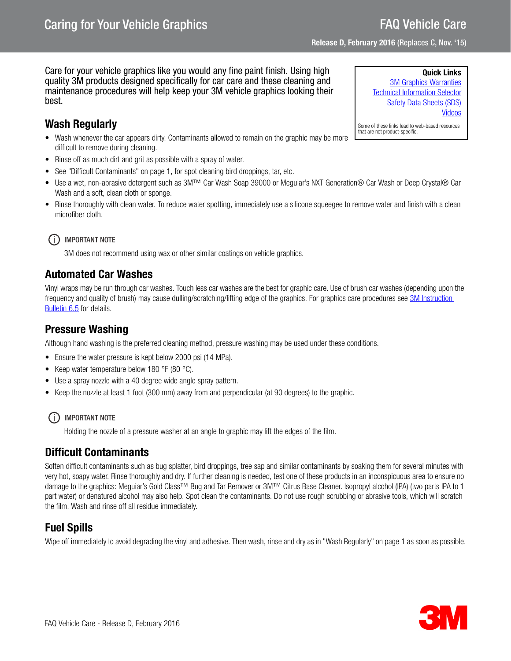# FAQ Vehicle Care

Release D, February 2016 (Replaces C, Nov. '15)

#### Care for your vehicle graphics like you would any fine paint finish. Using high quality 3M products designed specifically for car care and these cleaning and maintenance procedures will help keep your 3M vehicle graphics looking their best.

## <span id="page-0-0"></span>Wash Regularly

- Wash whenever the car appears dirty. Contaminants allowed to remain on the graphic may be more difficult to remove during cleaning.
- Rinse off as much dirt and grit as possible with a spray of water.
- See ["Difficult Contaminants" on page 1](#page-0-1), for spot cleaning bird droppings, tar, etc.
- Use a wet, non-abrasive detergent such as 3M™ Car Wash Soap 39000 or Meguiar's NXT Generation® Car Wash or Deep Crystal® Car Wash and a soft, clean cloth or sponge.
- Rinse thoroughly with clean water. To reduce water spotting, immediately use a silicone squeegee to remove water and finish with a clean microfiber cloth.

### (i) IMPORTANT NOTE

3M does not recommend using wax or other similar coatings on vehicle graphics.

## <span id="page-0-2"></span>Automated Car Washes

Vinyl wraps may be run through car washes. Touch less car washes are the best for graphic care. Use of brush car washes (depending upon the frequency and quality of brush) may cause dulling/scratching/lifting edge of the graphics. For graphics care procedures see 3M Instruction [Bulletin 6.5](http://multimedia.3m.com/mws/media/12593O/6-5-storage-handling-maintenance-removal-of-films-sheetings.pdf) for details.

## Pressure Washing

Although hand washing is the preferred cleaning method, pressure washing may be used under these conditions.

- Ensure the water pressure is kept below 2000 psi (14 MPa).
- Keep water temperature below 180 °F (80 °C).
- Use a spray nozzle with a 40 degree wide angle spray pattern.
- Keep the nozzle at least 1 foot (300 mm) away from and perpendicular (at 90 degrees) to the graphic.

### (i) IMPORTANT NOTE

Holding the nozzle of a pressure washer at an angle to graphic may lift the edges of the film.

## <span id="page-0-1"></span>Difficult Contaminants

Soften difficult contaminants such as bug splatter, bird droppings, tree sap and similar contaminants by soaking them for several minutes with very hot, soapy water. Rinse thoroughly and dry. If further cleaning is needed, test one of these products in an inconspicuous area to ensure no damage to the graphics: Meguiar's Gold Class™ Bug and Tar Remover or 3M™ Citrus Base Cleaner. Isopropyl alcohol (IPA) (two parts IPA to 1 part water) or denatured alcohol may also help. Spot clean the contaminants. Do not use rough scrubbing or abrasive tools, which will scratch the film. Wash and rinse off all residue immediately.

## Fuel Spills

Wipe off immediately to avoid degrading the vinyl and adhesive. Then wash, rinse and dry as in ["Wash Regularly" on page 1](#page-0-0) as soon as possible.



Quick Links [3M Graphics Warranties](http://solutions.3m.com/wps/portal/3M/en_US/Graphics/3Mgraphics/ToolsandSupport/Warranties/?WT.mc_id=www.3mgraphics.com/warranties) [Technical Information Selector](http://solutions.3m.com/wps/portal/3M/en_US/Graphics/3Mgraphics/ToolsAndSupport/TechnicalInformation/) [Safety Data Sheets \(SDS\)](http://solutions.3m.com/wps/portal/3M/en_WW/MSDS/Search?gsaAction=msdsSRA) [Videos](http://solutions.3m.com/wps/portal/3M/en_US/Graphics/3Mgraphics/ToolsAndSupport/Videos/)

Some of these links lead to web-based resources that are not product-specific.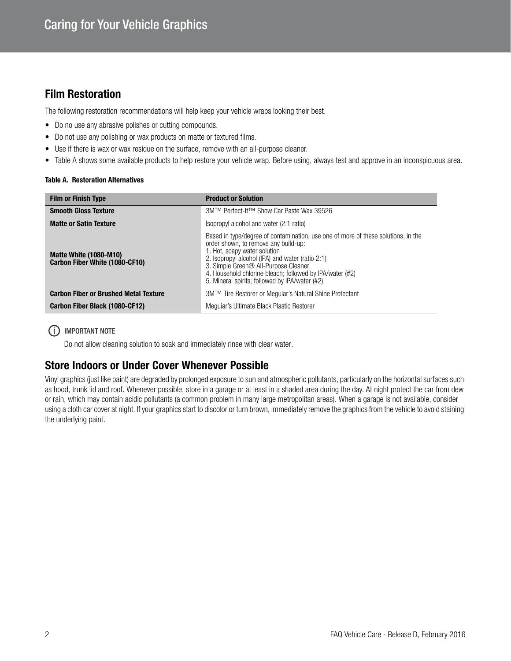## <span id="page-1-0"></span>Film Restoration

The following restoration recommendations will help keep your vehicle wraps looking their best.

- Do no use any abrasive polishes or cutting compounds.
- Do not use any polishing or wax products on matte or textured films.
- Use if there is wax or wax residue on the surface, remove with an all-purpose cleaner.
- Table A shows some available products to help restore your vehicle wrap. Before using, always test and approve in an inconspicuous area.

#### Table A. Restoration Alternatives

| <b>Film or Finish Type</b>                                      | <b>Product or Solution</b>                                                                                                                                                                                                                                                                                                                                                      |
|-----------------------------------------------------------------|---------------------------------------------------------------------------------------------------------------------------------------------------------------------------------------------------------------------------------------------------------------------------------------------------------------------------------------------------------------------------------|
| <b>Smooth Gloss Texture</b>                                     | 3M™ Perfect-It™ Show Car Paste Wax 39526                                                                                                                                                                                                                                                                                                                                        |
| <b>Matte or Satin Texture</b>                                   | Isopropyl alcohol and water (2:1 ratio)                                                                                                                                                                                                                                                                                                                                         |
| <b>Matte White (1080-M10)</b><br>Carbon Fiber White (1080-CF10) | Based in type/degree of contamination, use one of more of these solutions, in the<br>order shown, to remove any build-up:<br>1. Hot, soapy water solution<br>2. Isopropyl alcohol (IPA) and water (ratio 2:1)<br>3. Simple Green <sup>®</sup> All-Purpose Cleaner<br>4. Household chlorine bleach; followed by IPA/water (#2)<br>5. Mineral spirits; followed by IPA/water (#2) |
| <b>Carbon Fiber or Brushed Metal Texture</b>                    | 3M™ Tire Restorer or Mequiar's Natural Shine Protectant                                                                                                                                                                                                                                                                                                                         |
| Carbon Fiber Black (1080-CF12)                                  | Mequiar's Ultimate Black Plastic Restorer                                                                                                                                                                                                                                                                                                                                       |

#### (i) IMPORTANT NOTE

Do not allow cleaning solution to soak and immediately rinse with clear water.

### Store Indoors or Under Cover Whenever Possible

Vinyl graphics (just like paint) are degraded by prolonged exposure to sun and atmospheric pollutants, particularly on the horizontal surfaces such as hood, trunk lid and roof. Whenever possible, store in a garage or at least in a shaded area during the day. At night protect the car from dew or rain, which may contain acidic pollutants (a common problem in many large metropolitan areas). When a garage is not available, consider using a cloth car cover at night. If your graphics start to discolor or turn brown, immediately remove the graphics from the vehicle to avoid staining the underlying paint.